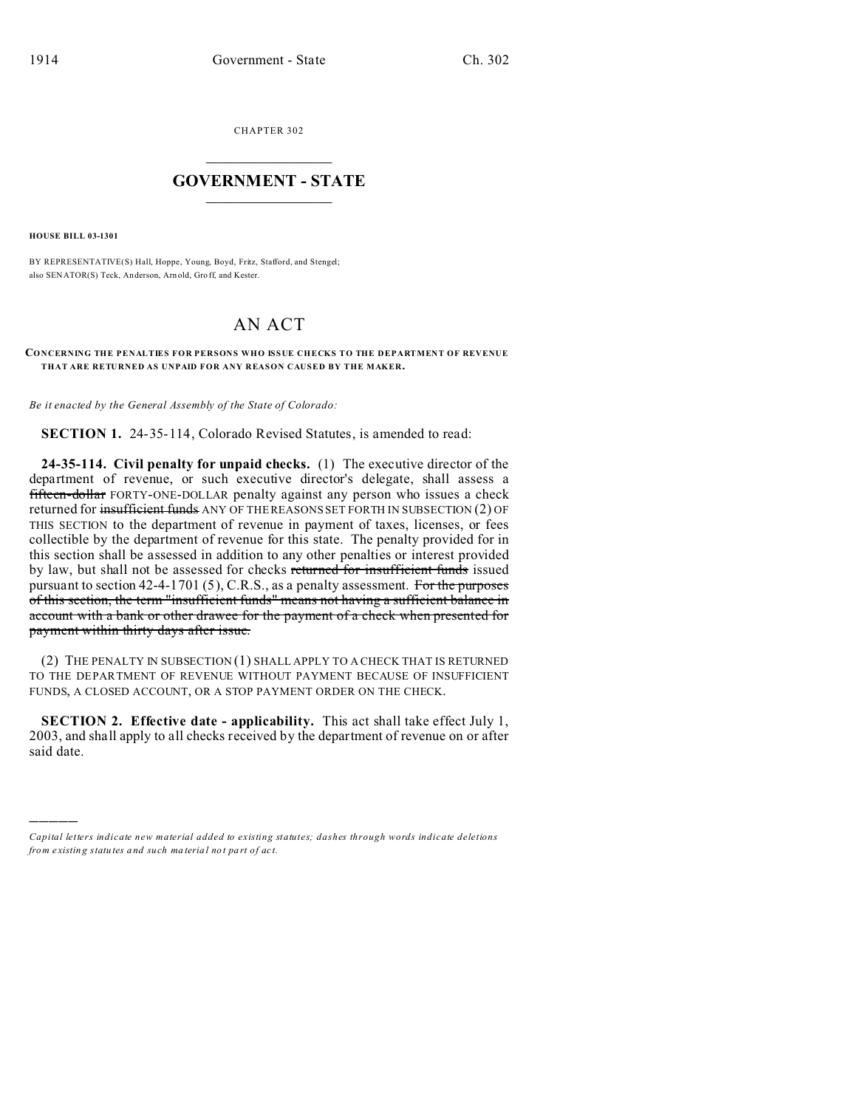CHAPTER 302  $\overline{\phantom{a}}$  , where  $\overline{\phantom{a}}$ 

## **GOVERNMENT - STATE**  $\_$   $\_$

**HOUSE BILL 03-1301**

)))))

BY REPRESENTATIVE(S) Hall, Hoppe, Young, Boyd, Fritz, Stafford, and Stengel; also SENATOR(S) Teck, Anderson, Arn old, Gro ff, and Kester.

## AN ACT

## **CONCERNING THE PENALTIES FOR PERSONS WHO ISSUE CHECKS TO THE DEPARTMENT OF REVENUE THAT ARE RETURNED AS UNPAID FOR ANY REASON CAUSED BY THE MAKER.**

*Be it enacted by the General Assembly of the State of Colorado:*

**SECTION 1.** 24-35-114, Colorado Revised Statutes, is amended to read:

**24-35-114. Civil penalty for unpaid checks.** (1) The executive director of the department of revenue, or such executive director's delegate, shall assess a fifteen-dollar FORTY-ONE-DOLLAR penalty against any person who issues a check returned for insufficient funds ANY OF THE REASONS SET FORTH IN SUBSECTION (2) OF THIS SECTION to the department of revenue in payment of taxes, licenses, or fees collectible by the department of revenue for this state. The penalty provided for in this section shall be assessed in addition to any other penalties or interest provided by law, but shall not be assessed for checks returned for insufficient funds issued pursuant to section 42-4-1701 (5), C.R.S., as a penalty assessment. For the purposes of this section, the term "insufficient funds" means not having a sufficient balance in account with a bank or other drawee for the payment of a check when presented for payment within thirty days after issue.

(2) THE PENALTY IN SUBSECTION (1) SHALL APPLY TO A CHECK THAT IS RETURNED TO THE DEPARTMENT OF REVENUE WITHOUT PAYMENT BECAUSE OF INSUFFICIENT FUNDS, A CLOSED ACCOUNT, OR A STOP PAYMENT ORDER ON THE CHECK.

**SECTION 2. Effective date - applicability.** This act shall take effect July 1, 2003, and shall apply to all checks received by the department of revenue on or after said date.

*Capital letters indicate new material added to existing statutes; dashes through words indicate deletions from e xistin g statu tes a nd such ma teria l no t pa rt of ac t.*